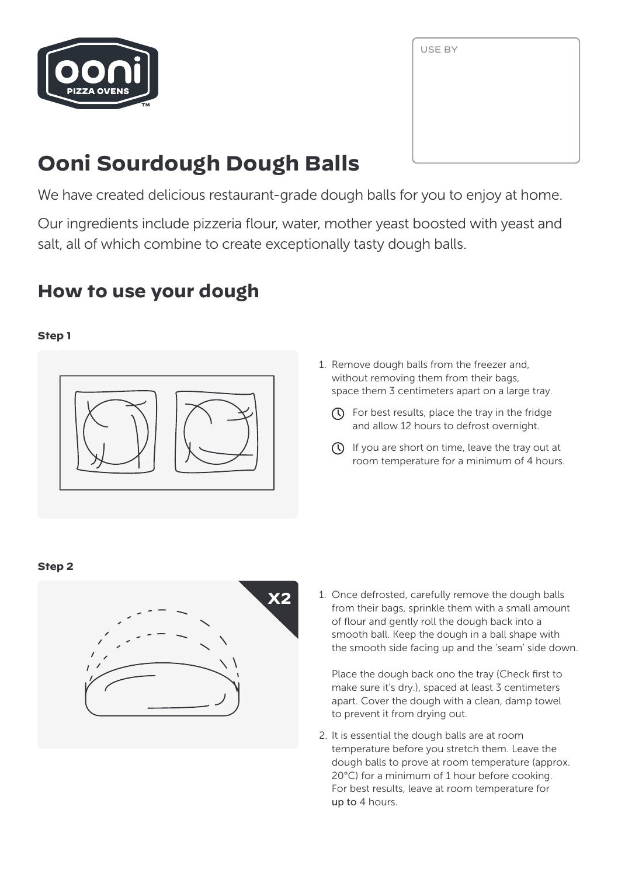

| USE BY |  |  |
|--------|--|--|
|        |  |  |
|        |  |  |
|        |  |  |
|        |  |  |

# **Ooni Sourdough Dough Balls**

We have created delicious restaurant-grade dough balls for you to enjoy at home.

Our ingredients include pizzeria flour, water, mother yeast boosted with yeast and salt, all of which combine to create exceptionally tasty dough balls.

# **How to use your dough**

## **Step 1**



- 1. Remove dough balls from the freezer and, without removing them from their bags, space them 3 centimeters apart on a large tray.
	- $\Omega$  For best results, place the tray in the fridge and allow 12 hours to defrost overnight.
	- $\overline{O}$  If you are short on time, leave the tray out at room temperature for a minimum of 4 hours.

### **Step 2**



1. Once defrosted, carefully remove the dough balls from their bags, sprinkle them with a small amount of flour and gently roll the dough back into a smooth ball. Keep the dough in a ball shape with the smooth side facing up and the 'seam' side down.

Place the dough back ono the tray (Check first to make sure it's dry.), spaced at least 3 centimeters apart. Cover the dough with a clean, damp towel to prevent it from drying out.

2. It is essential the dough balls are at room temperature before you stretch them. Leave the dough balls to prove at room temperature (approx. 20°C) for a minimum of 1 hour before cooking. For best results, leave at room temperature for up to 4 hours.